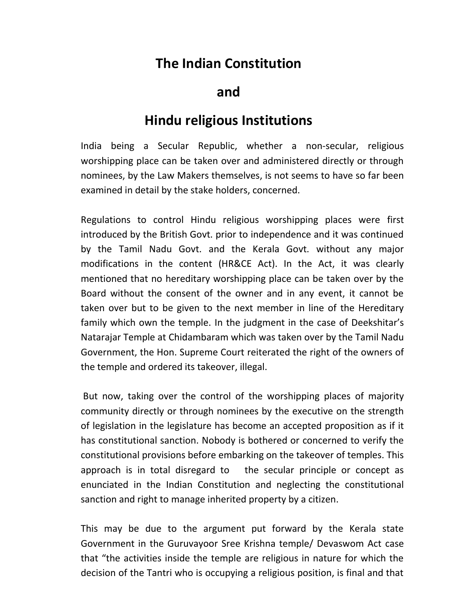## **The Indian Constitution**

**and**

## **Hindu religious Institutions**

India being a Secular Republic, whether a non-secular, religious worshipping place can be taken over and administered directly or through nominees, by the Law Makers themselves, is not seems to have so far been examined in detail by the stake holders, concerned.

Regulations to control Hindu religious worshipping places were first introduced by the British Govt. prior to independence and it was continued by the Tamil Nadu Govt. and the Kerala Govt. without any major modifications in the content (HR&CE Act). In the Act, it was clearly mentioned that no hereditary worshipping place can be taken over by the Board without the consent of the owner and in any event, it cannot be taken over but to be given to the next member in line of the Hereditary family which own the temple. In the judgment in the case of Deekshitar's Natarajar Temple at Chidambaram which was taken over by the Tamil Nadu Government, the Hon. Supreme Court reiterated the right of the owners of the temple and ordered its takeover, illegal.

But now, taking over the control of the worshipping places of majority community directly or through nominees by the executive on the strength of legislation in the legislature has become an accepted proposition as if it has constitutional sanction. Nobody is bothered or concerned to verify the constitutional provisions before embarking on the takeover of temples. This approach is in total disregard to the secular principle or concept as enunciated in the Indian Constitution and neglecting the constitutional sanction and right to manage inherited property by a citizen.

This may be due to the argument put forward by the Kerala state Government in the Guruvayoor Sree Krishna temple/ Devaswom Act case that "the activities inside the temple are religious in nature for which the decision of the Tantri who is occupying a religious position, is final and that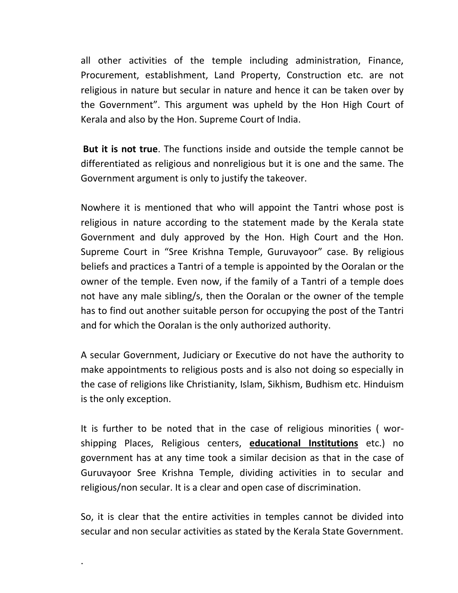all other activities of the temple including administration, Finance, Procurement, establishment, Land Property, Construction etc. are not religious in nature but secular in nature and hence it can be taken over by the Government". This argument was upheld by the Hon High Court of Kerala and also by the Hon. Supreme Court of India.

**But it is not true**. The functions inside and outside the temple cannot be differentiated as religious and nonreligious but it is one and the same. The Government argument is only to justify the takeover.

Nowhere it is mentioned that who will appoint the Tantri whose post is religious in nature according to the statement made by the Kerala state Government and duly approved by the Hon. High Court and the Hon. Supreme Court in "Sree Krishna Temple, Guruvayoor" case. By religious beliefs and practices a Tantri of a temple is appointed by the Ooralan or the owner of the temple. Even now, if the family of a Tantri of a temple does not have any male sibling/s, then the Ooralan or the owner of the temple has to find out another suitable person for occupying the post of the Tantri and for which the Ooralan is the only authorized authority.

A secular Government, Judiciary or Executive do not have the authority to make appointments to religious posts and is also not doing so especially in the case of religions like Christianity, Islam, Sikhism, Budhism etc. Hinduism is the only exception.

It is further to be noted that in the case of religious minorities ( worshipping Places, Religious centers, **educational Institutions** etc.) no government has at any time took a similar decision as that in the case of Guruvayoor Sree Krishna Temple, dividing activities in to secular and religious/non secular. It is a clear and open case of discrimination.

So, it is clear that the entire activities in temples cannot be divided into secular and non secular activities as stated by the Kerala State Government.

.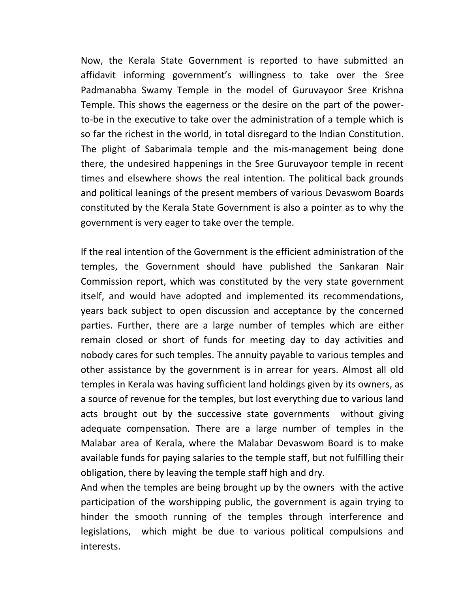Now, the Kerala State Government is reported to have submitted an affidavit informing government's willingness to take over the Sree Padmanabha Swamy Temple in the model of Guruvayoor Sree Krishna Temple. This shows the eagerness or the desire on the part of the powerto-be in the executive to take over the administration of a temple which is so far the richest in the world, in total disregard to the Indian Constitution. The plight of Sabarimala temple and the mis-management being done there, the undesired happenings in the Sree Guruvayoor temple in recent times and elsewhere shows the real intention. The political back grounds and political leanings of the present members of various Devaswom Boards constituted by the Kerala State Government is also a pointer as to why the government is very eager to take over the temple.

If the real intention of the Government is the efficient administration of the temples, the Government should have published the Sankaran Nair Commission report, which was constituted by the very state government itself, and would have adopted and implemented its recommendations, years back subject to open discussion and acceptance by the concerned parties. Further, there are a large number of temples which are either remain closed or short of funds for meeting day to day activities and nobody cares for such temples. The annuity payable to various temples and other assistance by the government is in arrear for years. Almost all old temples in Kerala was having sufficient land holdings given by its owners, as a source of revenue for the temples, but lost everything due to various land acts brought out by the successive state governments without giving adequate compensation. There are a large number of temples in the Malabar area of Kerala, where the Malabar Devaswom Board is to make available funds for paying salaries to the temple staff, but not fulfilling their obligation, there by leaving the temple staff high and dry.

And when the temples are being brought up by the owners with the active participation of the worshipping public, the government is again trying to hinder the smooth running of the temples through interference and legislations, which might be due to various political compulsions and interests.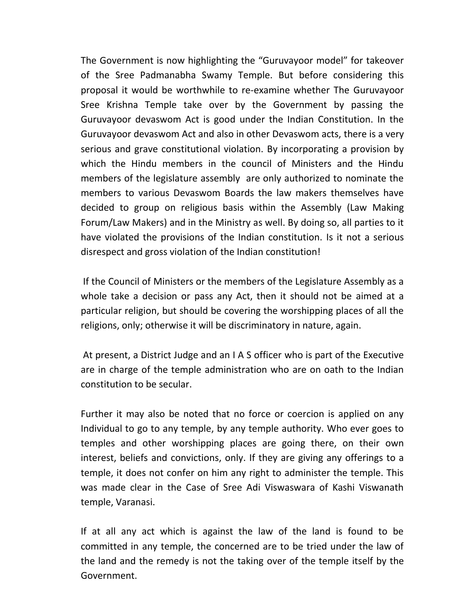The Government is now highlighting the "Guruvayoor model" for takeover of the Sree Padmanabha Swamy Temple. But before considering this proposal it would be worthwhile to re-examine whether The Guruvayoor Sree Krishna Temple take over by the Government by passing the Guruvayoor devaswom Act is good under the Indian Constitution. In the Guruvayoor devaswom Act and also in other Devaswom acts, there is a very serious and grave constitutional violation. By incorporating a provision by which the Hindu members in the council of Ministers and the Hindu members of the legislature assembly are only authorized to nominate the members to various Devaswom Boards the law makers themselves have decided to group on religious basis within the Assembly (Law Making Forum/Law Makers) and in the Ministry as well. By doing so, all parties to it have violated the provisions of the Indian constitution. Is it not a serious disrespect and gross violation of the Indian constitution!

If the Council of Ministers or the members of the Legislature Assembly as a whole take a decision or pass any Act, then it should not be aimed at a particular religion, but should be covering the worshipping places of all the religions, only; otherwise it will be discriminatory in nature, again.

At present, a District Judge and an I A S officer who is part of the Executive are in charge of the temple administration who are on oath to the Indian constitution to be secular.

Further it may also be noted that no force or coercion is applied on any Individual to go to any temple, by any temple authority. Who ever goes to temples and other worshipping places are going there, on their own interest, beliefs and convictions, only. If they are giving any offerings to a temple, it does not confer on him any right to administer the temple. This was made clear in the Case of Sree Adi Viswaswara of Kashi Viswanath temple, Varanasi.

If at all any act which is against the law of the land is found to be committed in any temple, the concerned are to be tried under the law of the land and the remedy is not the taking over of the temple itself by the Government.